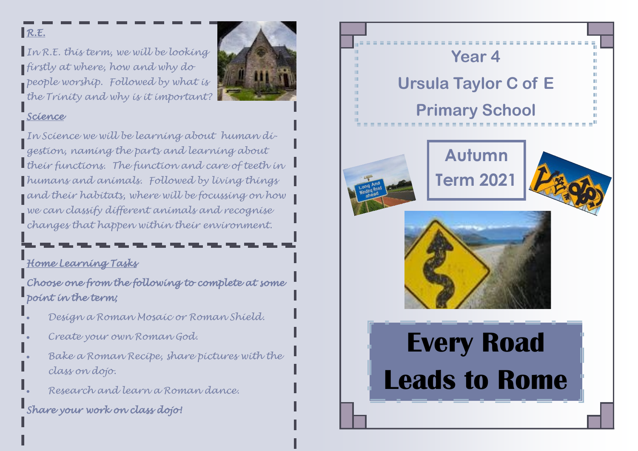#### $R.E.$

*In R.E. this term, we will be looking firstly at where, how and why do people worship. Followed by what is the Trinity and why is it important?* 



#### *Science*

*In Science we will be learning about human digestion, naming the parts and learning about their functions. The function and care of teeth in humans and animals. Followed by living things and their habitats, where will be focussing on how we can classify different animals and recognise changes that happen within their environment.* 

# *Home Learning Tasks*

*Choose one from the following to complete at some point in the term;* 

- *Design a Roman Mosaic or Roman Shield.*
- *Create your own Roman God.*
- *Bake a Roman Recipe, share pictures with the class on dojo.*
- *Research and learn a Roman dance.*

## *Share your work on class dojo!*